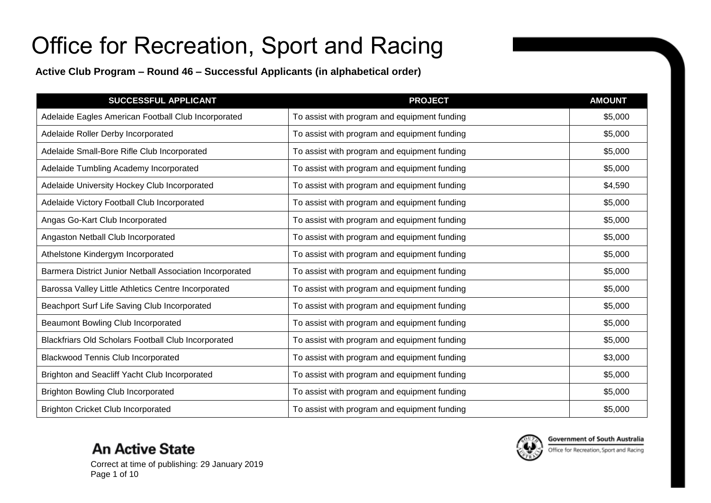**Active Club Program – Round 46 – Successful Applicants (in alphabetical order)**

| <b>SUCCESSFUL APPLICANT</b>                              | <b>PROJECT</b>                               | <b>AMOUNT</b> |
|----------------------------------------------------------|----------------------------------------------|---------------|
| Adelaide Eagles American Football Club Incorporated      | To assist with program and equipment funding | \$5,000       |
| Adelaide Roller Derby Incorporated                       | To assist with program and equipment funding | \$5,000       |
| Adelaide Small-Bore Rifle Club Incorporated              | To assist with program and equipment funding | \$5,000       |
| Adelaide Tumbling Academy Incorporated                   | To assist with program and equipment funding | \$5,000       |
| Adelaide University Hockey Club Incorporated             | To assist with program and equipment funding | \$4,590       |
| Adelaide Victory Football Club Incorporated              | To assist with program and equipment funding | \$5,000       |
| Angas Go-Kart Club Incorporated                          | To assist with program and equipment funding | \$5,000       |
| Angaston Netball Club Incorporated                       | To assist with program and equipment funding | \$5,000       |
| Athelstone Kindergym Incorporated                        | To assist with program and equipment funding | \$5,000       |
| Barmera District Junior Netball Association Incorporated | To assist with program and equipment funding | \$5,000       |
| Barossa Valley Little Athletics Centre Incorporated      | To assist with program and equipment funding | \$5,000       |
| Beachport Surf Life Saving Club Incorporated             | To assist with program and equipment funding | \$5,000       |
| Beaumont Bowling Club Incorporated                       | To assist with program and equipment funding | \$5,000       |
| Blackfriars Old Scholars Football Club Incorporated      | To assist with program and equipment funding | \$5,000       |
| <b>Blackwood Tennis Club Incorporated</b>                | To assist with program and equipment funding | \$3,000       |
| Brighton and Seacliff Yacht Club Incorporated            | To assist with program and equipment funding | \$5,000       |
| <b>Brighton Bowling Club Incorporated</b>                | To assist with program and equipment funding | \$5,000       |
| <b>Brighton Cricket Club Incorporated</b>                | To assist with program and equipment funding | \$5,000       |



Correct at time of publishing: 29 January 2019 Page 1 of 10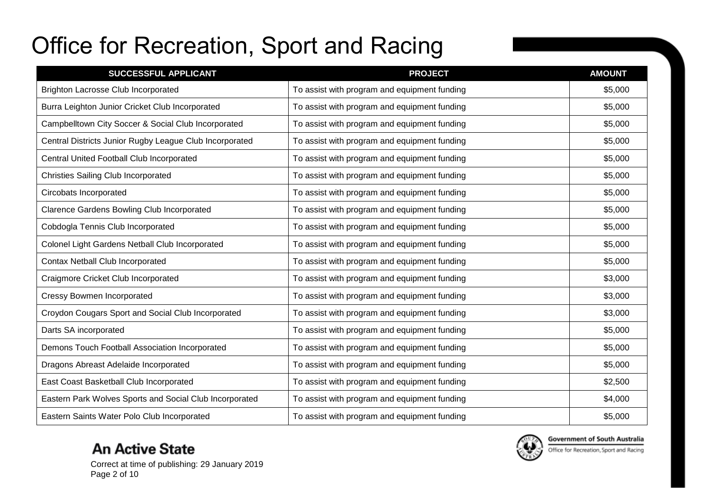| <b>SUCCESSFUL APPLICANT</b>                             | <b>PROJECT</b>                               | <b>AMOUNT</b> |
|---------------------------------------------------------|----------------------------------------------|---------------|
| <b>Brighton Lacrosse Club Incorporated</b>              | To assist with program and equipment funding | \$5,000       |
| Burra Leighton Junior Cricket Club Incorporated         | To assist with program and equipment funding | \$5,000       |
| Campbelltown City Soccer & Social Club Incorporated     | To assist with program and equipment funding | \$5,000       |
| Central Districts Junior Rugby League Club Incorporated | To assist with program and equipment funding | \$5,000       |
| Central United Football Club Incorporated               | To assist with program and equipment funding | \$5,000       |
| <b>Christies Sailing Club Incorporated</b>              | To assist with program and equipment funding | \$5,000       |
| Circobats Incorporated                                  | To assist with program and equipment funding | \$5,000       |
| <b>Clarence Gardens Bowling Club Incorporated</b>       | To assist with program and equipment funding | \$5,000       |
| Cobdogla Tennis Club Incorporated                       | To assist with program and equipment funding | \$5,000       |
| Colonel Light Gardens Netball Club Incorporated         | To assist with program and equipment funding | \$5,000       |
| Contax Netball Club Incorporated                        | To assist with program and equipment funding | \$5,000       |
| Craigmore Cricket Club Incorporated                     | To assist with program and equipment funding | \$3,000       |
| <b>Cressy Bowmen Incorporated</b>                       | To assist with program and equipment funding | \$3,000       |
| Croydon Cougars Sport and Social Club Incorporated      | To assist with program and equipment funding | \$3,000       |
| Darts SA incorporated                                   | To assist with program and equipment funding | \$5,000       |
| Demons Touch Football Association Incorporated          | To assist with program and equipment funding | \$5,000       |
| Dragons Abreast Adelaide Incorporated                   | To assist with program and equipment funding | \$5,000       |
| East Coast Basketball Club Incorporated                 | To assist with program and equipment funding | \$2,500       |
| Eastern Park Wolves Sports and Social Club Incorporated | To assist with program and equipment funding | \$4,000       |
| Eastern Saints Water Polo Club Incorporated             | To assist with program and equipment funding | \$5,000       |

### **An Active State**



**Government of South Australia** 

Correct at time of publishing: 29 January 2019 Page 2 of 10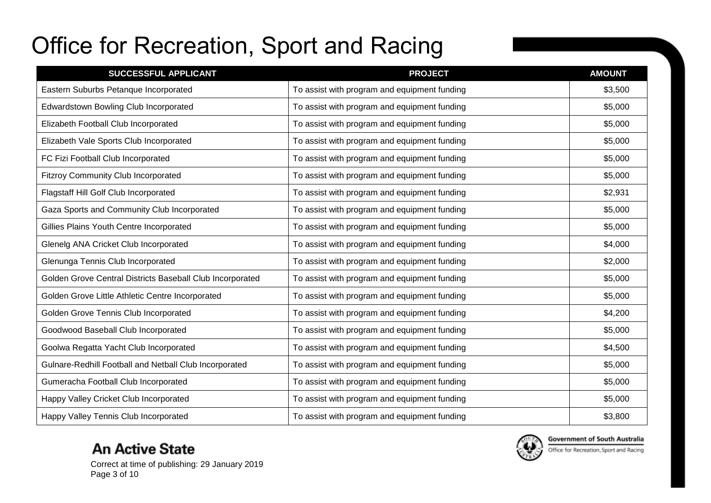| <b>SUCCESSFUL APPLICANT</b>                               | <b>PROJECT</b>                               | <b>AMOUNT</b> |
|-----------------------------------------------------------|----------------------------------------------|---------------|
| Eastern Suburbs Petanque Incorporated                     | To assist with program and equipment funding | \$3,500       |
| Edwardstown Bowling Club Incorporated                     | To assist with program and equipment funding | \$5,000       |
| Elizabeth Football Club Incorporated                      | To assist with program and equipment funding | \$5,000       |
| Elizabeth Vale Sports Club Incorporated                   | To assist with program and equipment funding | \$5,000       |
| FC Fizi Football Club Incorporated                        | To assist with program and equipment funding | \$5,000       |
| <b>Fitzroy Community Club Incorporated</b>                | To assist with program and equipment funding | \$5,000       |
| Flagstaff Hill Golf Club Incorporated                     | To assist with program and equipment funding | \$2,931       |
| Gaza Sports and Community Club Incorporated               | To assist with program and equipment funding | \$5,000       |
| Gillies Plains Youth Centre Incorporated                  | To assist with program and equipment funding | \$5,000       |
| Glenelg ANA Cricket Club Incorporated                     | To assist with program and equipment funding | \$4,000       |
| Glenunga Tennis Club Incorporated                         | To assist with program and equipment funding | \$2,000       |
| Golden Grove Central Districts Baseball Club Incorporated | To assist with program and equipment funding | \$5,000       |
| Golden Grove Little Athletic Centre Incorporated          | To assist with program and equipment funding | \$5,000       |
| Golden Grove Tennis Club Incorporated                     | To assist with program and equipment funding | \$4,200       |
| Goodwood Baseball Club Incorporated                       | To assist with program and equipment funding | \$5,000       |
| Goolwa Regatta Yacht Club Incorporated                    | To assist with program and equipment funding | \$4,500       |
| Gulnare-Redhill Football and Netball Club Incorporated    | To assist with program and equipment funding | \$5,000       |
| Gumeracha Football Club Incorporated                      | To assist with program and equipment funding | \$5,000       |
| Happy Valley Cricket Club Incorporated                    | To assist with program and equipment funding | \$5,000       |
| Happy Valley Tennis Club Incorporated                     | To assist with program and equipment funding | \$3,800       |

### **An Active State**





Office for Recreation, Sport and Racing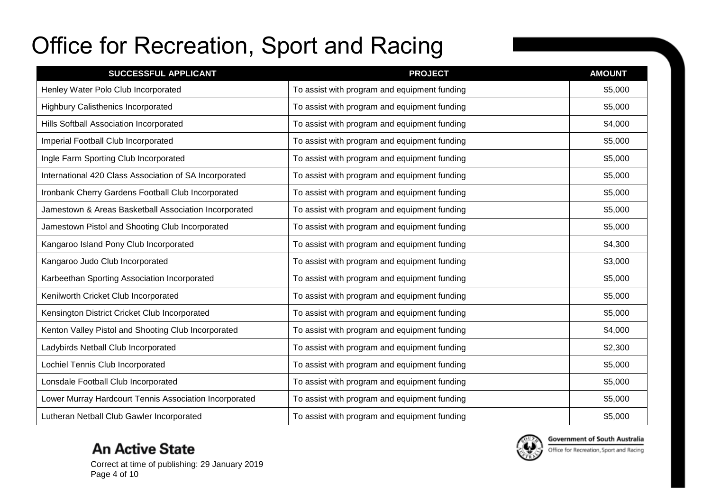| SUCCESSFUL APPLICANT                                   | <b>PROJECT</b>                               | <b>AMOUNT</b> |
|--------------------------------------------------------|----------------------------------------------|---------------|
| Henley Water Polo Club Incorporated                    | To assist with program and equipment funding | \$5,000       |
| <b>Highbury Calisthenics Incorporated</b>              | To assist with program and equipment funding | \$5,000       |
| Hills Softball Association Incorporated                | To assist with program and equipment funding | \$4,000       |
| Imperial Football Club Incorporated                    | To assist with program and equipment funding | \$5,000       |
| Ingle Farm Sporting Club Incorporated                  | To assist with program and equipment funding | \$5,000       |
| International 420 Class Association of SA Incorporated | To assist with program and equipment funding | \$5,000       |
| Ironbank Cherry Gardens Football Club Incorporated     | To assist with program and equipment funding | \$5,000       |
| Jamestown & Areas Basketball Association Incorporated  | To assist with program and equipment funding | \$5,000       |
| Jamestown Pistol and Shooting Club Incorporated        | To assist with program and equipment funding | \$5,000       |
| Kangaroo Island Pony Club Incorporated                 | To assist with program and equipment funding | \$4,300       |
| Kangaroo Judo Club Incorporated                        | To assist with program and equipment funding | \$3,000       |
| Karbeethan Sporting Association Incorporated           | To assist with program and equipment funding | \$5,000       |
| Kenilworth Cricket Club Incorporated                   | To assist with program and equipment funding | \$5,000       |
| Kensington District Cricket Club Incorporated          | To assist with program and equipment funding | \$5,000       |
| Kenton Valley Pistol and Shooting Club Incorporated    | To assist with program and equipment funding | \$4,000       |
| Ladybirds Netball Club Incorporated                    | To assist with program and equipment funding | \$2,300       |
| Lochiel Tennis Club Incorporated                       | To assist with program and equipment funding | \$5,000       |
| Lonsdale Football Club Incorporated                    | To assist with program and equipment funding | \$5,000       |
| Lower Murray Hardcourt Tennis Association Incorporated | To assist with program and equipment funding | \$5,000       |
| Lutheran Netball Club Gawler Incorporated              | To assist with program and equipment funding | \$5,000       |

### **An Active State**



**Government of South Australia** 

Office for Recreation, Sport and Racing

Correct at time of publishing: 29 January 2019 Page 4 of 10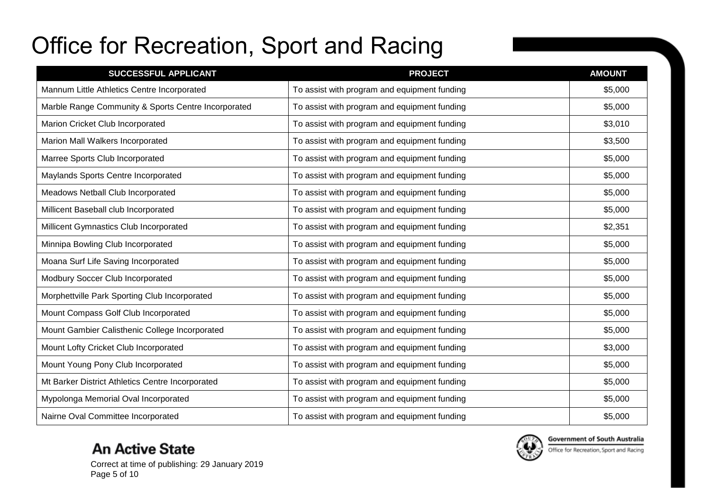| <b>SUCCESSFUL APPLICANT</b>                         | <b>PROJECT</b>                               | <b>AMOUNT</b> |
|-----------------------------------------------------|----------------------------------------------|---------------|
| Mannum Little Athletics Centre Incorporated         | To assist with program and equipment funding | \$5,000       |
| Marble Range Community & Sports Centre Incorporated | To assist with program and equipment funding | \$5,000       |
| Marion Cricket Club Incorporated                    | To assist with program and equipment funding | \$3,010       |
| Marion Mall Walkers Incorporated                    | To assist with program and equipment funding | \$3,500       |
| Marree Sports Club Incorporated                     | To assist with program and equipment funding | \$5,000       |
| Maylands Sports Centre Incorporated                 | To assist with program and equipment funding | \$5,000       |
| Meadows Netball Club Incorporated                   | To assist with program and equipment funding | \$5,000       |
| Millicent Baseball club Incorporated                | To assist with program and equipment funding | \$5,000       |
| Millicent Gymnastics Club Incorporated              | To assist with program and equipment funding | \$2,351       |
| Minnipa Bowling Club Incorporated                   | To assist with program and equipment funding | \$5,000       |
| Moana Surf Life Saving Incorporated                 | To assist with program and equipment funding | \$5,000       |
| Modbury Soccer Club Incorporated                    | To assist with program and equipment funding | \$5,000       |
| Morphettville Park Sporting Club Incorporated       | To assist with program and equipment funding | \$5,000       |
| Mount Compass Golf Club Incorporated                | To assist with program and equipment funding | \$5,000       |
| Mount Gambier Calisthenic College Incorporated      | To assist with program and equipment funding | \$5,000       |
| Mount Lofty Cricket Club Incorporated               | To assist with program and equipment funding | \$3,000       |
| Mount Young Pony Club Incorporated                  | To assist with program and equipment funding | \$5,000       |
| Mt Barker District Athletics Centre Incorporated    | To assist with program and equipment funding | \$5,000       |
| Mypolonga Memorial Oval Incorporated                | To assist with program and equipment funding | \$5,000       |
| Nairne Oval Committee Incorporated                  | To assist with program and equipment funding | \$5,000       |

### **An Active State**





Office for Recreation, Sport and Racing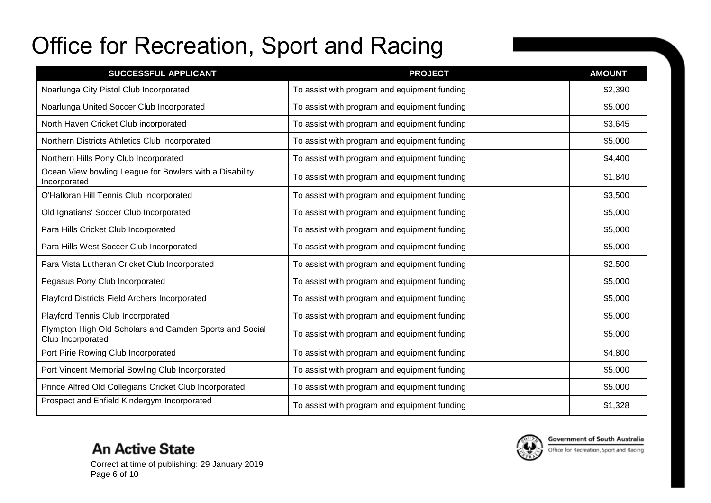| SUCCESSFUL APPLICANT                                                         | <b>PROJECT</b>                               | <b>AMOUNT</b> |
|------------------------------------------------------------------------------|----------------------------------------------|---------------|
| Noarlunga City Pistol Club Incorporated                                      | To assist with program and equipment funding | \$2,390       |
| Noarlunga United Soccer Club Incorporated                                    | To assist with program and equipment funding | \$5,000       |
| North Haven Cricket Club incorporated                                        | To assist with program and equipment funding | \$3,645       |
| Northern Districts Athletics Club Incorporated                               | To assist with program and equipment funding | \$5,000       |
| Northern Hills Pony Club Incorporated                                        | To assist with program and equipment funding | \$4,400       |
| Ocean View bowling League for Bowlers with a Disability<br>Incorporated      | To assist with program and equipment funding | \$1,840       |
| O'Halloran Hill Tennis Club Incorporated                                     | To assist with program and equipment funding | \$3,500       |
| Old Ignatians' Soccer Club Incorporated                                      | To assist with program and equipment funding | \$5,000       |
| Para Hills Cricket Club Incorporated                                         | To assist with program and equipment funding | \$5,000       |
| Para Hills West Soccer Club Incorporated                                     | To assist with program and equipment funding | \$5,000       |
| Para Vista Lutheran Cricket Club Incorporated                                | To assist with program and equipment funding | \$2,500       |
| Pegasus Pony Club Incorporated                                               | To assist with program and equipment funding | \$5,000       |
| Playford Districts Field Archers Incorporated                                | To assist with program and equipment funding | \$5,000       |
| Playford Tennis Club Incorporated                                            | To assist with program and equipment funding | \$5,000       |
| Plympton High Old Scholars and Camden Sports and Social<br>Club Incorporated | To assist with program and equipment funding | \$5,000       |
| Port Pirie Rowing Club Incorporated                                          | To assist with program and equipment funding | \$4,800       |
| Port Vincent Memorial Bowling Club Incorporated                              | To assist with program and equipment funding | \$5,000       |
| Prince Alfred Old Collegians Cricket Club Incorporated                       | To assist with program and equipment funding | \$5,000       |
| Prospect and Enfield Kindergym Incorporated                                  | To assist with program and equipment funding | \$1,328       |

Correct at time of publishing: 29 January 2019 Page 6 of 10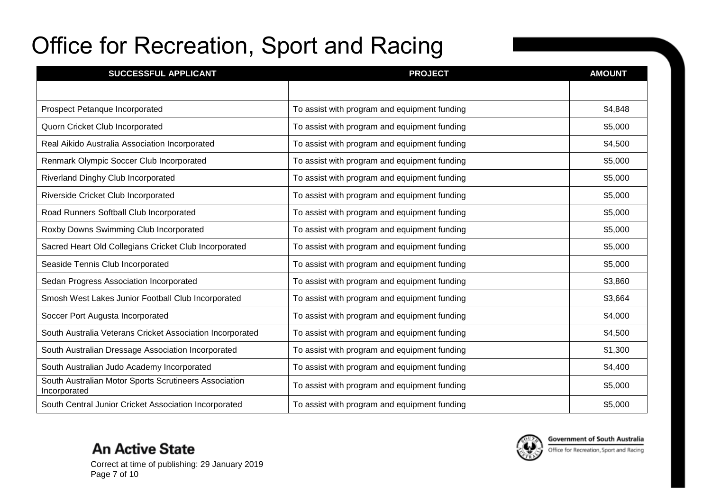| <b>SUCCESSFUL APPLICANT</b>                                           | <b>PROJECT</b>                               | <b>AMOUNT</b> |
|-----------------------------------------------------------------------|----------------------------------------------|---------------|
|                                                                       |                                              |               |
| Prospect Petanque Incorporated                                        | To assist with program and equipment funding | \$4,848       |
| Quorn Cricket Club Incorporated                                       | To assist with program and equipment funding | \$5,000       |
| Real Aikido Australia Association Incorporated                        | To assist with program and equipment funding | \$4,500       |
| Renmark Olympic Soccer Club Incorporated                              | To assist with program and equipment funding | \$5,000       |
| Riverland Dinghy Club Incorporated                                    | To assist with program and equipment funding | \$5,000       |
| Riverside Cricket Club Incorporated                                   | To assist with program and equipment funding | \$5,000       |
| Road Runners Softball Club Incorporated                               | To assist with program and equipment funding | \$5,000       |
| Roxby Downs Swimming Club Incorporated                                | To assist with program and equipment funding | \$5,000       |
| Sacred Heart Old Collegians Cricket Club Incorporated                 | To assist with program and equipment funding | \$5,000       |
| Seaside Tennis Club Incorporated                                      | To assist with program and equipment funding | \$5,000       |
| Sedan Progress Association Incorporated                               | To assist with program and equipment funding | \$3,860       |
| Smosh West Lakes Junior Football Club Incorporated                    | To assist with program and equipment funding | \$3,664       |
| Soccer Port Augusta Incorporated                                      | To assist with program and equipment funding | \$4,000       |
| South Australia Veterans Cricket Association Incorporated             | To assist with program and equipment funding | \$4,500       |
| South Australian Dressage Association Incorporated                    | To assist with program and equipment funding | \$1,300       |
| South Australian Judo Academy Incorporated                            | To assist with program and equipment funding | \$4,400       |
| South Australian Motor Sports Scrutineers Association<br>Incorporated | To assist with program and equipment funding | \$5,000       |
| South Central Junior Cricket Association Incorporated                 | To assist with program and equipment funding | \$5,000       |



Correct at time of publishing: 29 January 2019 Page 7 of 10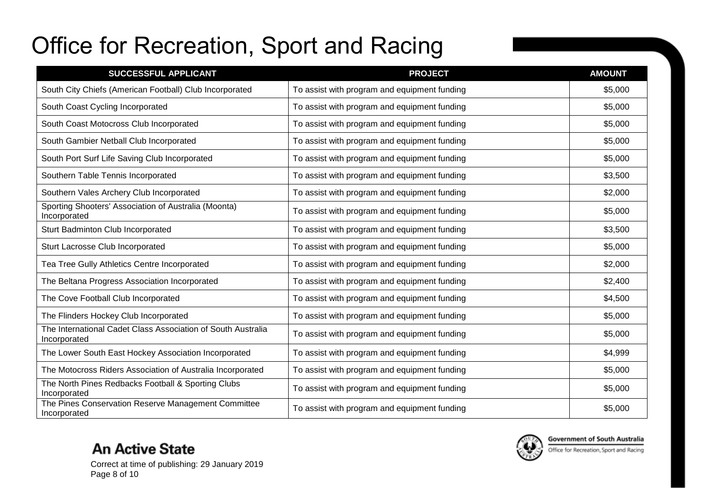| SUCCESSFUL APPLICANT                                                         | <b>PROJECT</b>                               | <b>AMOUNT</b> |
|------------------------------------------------------------------------------|----------------------------------------------|---------------|
| South City Chiefs (American Football) Club Incorporated                      | To assist with program and equipment funding | \$5,000       |
| South Coast Cycling Incorporated                                             | To assist with program and equipment funding | \$5,000       |
| South Coast Motocross Club Incorporated                                      | To assist with program and equipment funding | \$5,000       |
| South Gambier Netball Club Incorporated                                      | To assist with program and equipment funding | \$5,000       |
| South Port Surf Life Saving Club Incorporated                                | To assist with program and equipment funding | \$5,000       |
| Southern Table Tennis Incorporated                                           | To assist with program and equipment funding | \$3,500       |
| Southern Vales Archery Club Incorporated                                     | To assist with program and equipment funding | \$2,000       |
| Sporting Shooters' Association of Australia (Moonta)<br>Incorporated         | To assist with program and equipment funding | \$5,000       |
| Sturt Badminton Club Incorporated                                            | To assist with program and equipment funding | \$3,500       |
| Sturt Lacrosse Club Incorporated                                             | To assist with program and equipment funding | \$5,000       |
| Tea Tree Gully Athletics Centre Incorporated                                 | To assist with program and equipment funding | \$2,000       |
| The Beltana Progress Association Incorporated                                | To assist with program and equipment funding | \$2,400       |
| The Cove Football Club Incorporated                                          | To assist with program and equipment funding | \$4,500       |
| The Flinders Hockey Club Incorporated                                        | To assist with program and equipment funding | \$5,000       |
| The International Cadet Class Association of South Australia<br>Incorporated | To assist with program and equipment funding | \$5,000       |
| The Lower South East Hockey Association Incorporated                         | To assist with program and equipment funding | \$4,999       |
| The Motocross Riders Association of Australia Incorporated                   | To assist with program and equipment funding | \$5,000       |
| The North Pines Redbacks Football & Sporting Clubs<br>Incorporated           | To assist with program and equipment funding | \$5,000       |
| The Pines Conservation Reserve Management Committee<br>Incorporated          | To assist with program and equipment funding | \$5,000       |

Correct at time of publishing: 29 January 2019 Page 8 of 10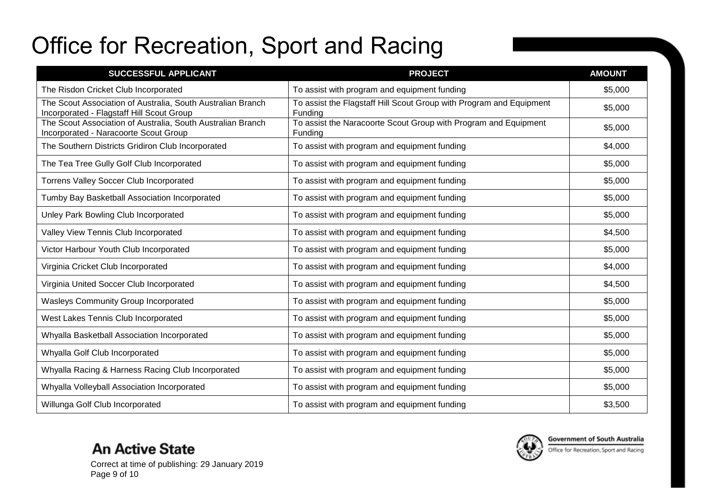| SUCCESSFUL APPLICANT                                                                                     | <b>PROJECT</b>                                                                 | <b>AMOUNT</b> |
|----------------------------------------------------------------------------------------------------------|--------------------------------------------------------------------------------|---------------|
| The Risdon Cricket Club Incorporated                                                                     | To assist with program and equipment funding                                   | \$5,000       |
| The Scout Association of Australia, South Australian Branch<br>Incorporated - Flagstaff Hill Scout Group | To assist the Flagstaff Hill Scout Group with Program and Equipment<br>Funding | \$5,000       |
| The Scout Association of Australia, South Australian Branch<br>Incorporated - Naracoorte Scout Group     | To assist the Naracoorte Scout Group with Program and Equipment<br>Funding     | \$5,000       |
| The Southern Districts Gridiron Club Incorporated                                                        | To assist with program and equipment funding                                   | \$4,000       |
| The Tea Tree Gully Golf Club Incorporated                                                                | To assist with program and equipment funding                                   | \$5,000       |
| Torrens Valley Soccer Club Incorporated                                                                  | To assist with program and equipment funding                                   | \$5,000       |
| Tumby Bay Basketball Association Incorporated                                                            | To assist with program and equipment funding                                   | \$5,000       |
| Unley Park Bowling Club Incorporated                                                                     | To assist with program and equipment funding                                   | \$5,000       |
| Valley View Tennis Club Incorporated                                                                     | To assist with program and equipment funding                                   | \$4,500       |
| Victor Harbour Youth Club Incorporated                                                                   | To assist with program and equipment funding                                   | \$5,000       |
| Virginia Cricket Club Incorporated                                                                       | To assist with program and equipment funding                                   | \$4,000       |
| Virginia United Soccer Club Incorporated                                                                 | To assist with program and equipment funding                                   | \$4,500       |
| Wasleys Community Group Incorporated                                                                     | To assist with program and equipment funding                                   | \$5,000       |
| West Lakes Tennis Club Incorporated                                                                      | To assist with program and equipment funding                                   | \$5,000       |
| Whyalla Basketball Association Incorporated                                                              | To assist with program and equipment funding                                   | \$5,000       |
| Whyalla Golf Club Incorporated                                                                           | To assist with program and equipment funding                                   | \$5,000       |
| Whyalla Racing & Harness Racing Club Incorporated                                                        | To assist with program and equipment funding                                   | \$5,000       |
| Whyalla Volleyball Association Incorporated                                                              | To assist with program and equipment funding                                   | \$5,000       |
| Willunga Golf Club Incorporated                                                                          | To assist with program and equipment funding                                   | \$3,500       |



Correct at time of publishing: 29 January 2019 Page 9 of 10